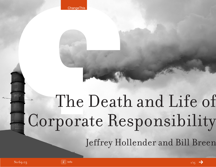# The Death and Life of Corporate Responsibility Jeffrey Hollender and Bill Breen

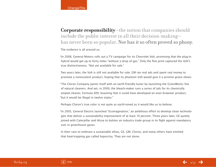## **Corporate responsibility**—the notion that companies should include the public interest in all their decision-making has never been so popular. Nor has it so often proved so phony.

The evidence is all around us:

\*In 2008, General Motors rolls out a TV campaign for its Chevrolet Volt, promising that the plug-in hybrid would get up to forty miles "without a drop of gas." Only the fine print captured the Volt's true distinctiveness: "Not yet available for sale."

Two years later, the Volt is still not available for sale. GM ran real ads and spent real money to promote a nonexistent product, hoping that its phantom Volt would give it a pristine green sheen.

\*The Clorox Company paints itself with an earth-friendly luster by launching the GreenWorks line of natural cleaners. And yet, in 2009, the bleach-maker runs a series of ads for its chemically amped cleaner, Formula 409, boasting that it could have developed an even brawnier product, "but it would be illegal in twelve states."

Perhaps Clorox's true color is not quite as earth-toned as it would like us to believe.

\*In 2005, General Electric launched "Ecomagination," an ambitious effort to develop clean technologies that deliver a sustainability improvement of at least 10 percent. Three years later, GE quietly joined with Caterpillar and Alcoa to bolster an industry trade group in its fight against mandatory cuts in greenhouse gases.

In their race to embrace a sustainable ethos, GE, GM, Clorox, and many others have emitted that heat-trapping gas called hypocrisy. They are not alone.

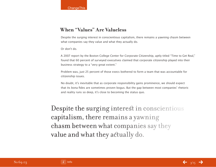## **When "Values" Are Valueless**

Despite the surging interest in conscientious capitalism, there remains a yawning chasm between what companies say they value and what they actually do.

Or don't do.

A 2007 report by the Boston College Center for Corporate Citizenship, aptly titled "Time to Get Real," found that 60 percent of surveyed executives claimed that corporate citizenship played into their business strategy to a "very great extent."

Problem was, just 25 percent of those execs bothered to form a team that was accountable for citizenship issues.

No doubt, it's inevitable that as corporate responsibility gains prominence, we should expect that its bona fides are sometimes proven bogus. But the gap between most companies' rhetoric and reality runs so deep, it's close to becoming the status quo.

Despite the surging interest in conscientious capitalism, there remains a yawning chasm between what companies say they value and what they actually do.

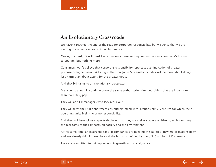## **An Evolutionary Crossroads**

We haven't reached the end of the road for corporate responsibility, but we sense that we are nearing the outer reaches of its evolutionary arc.

Moving forward, CR will most likely become a baseline requirement in every company's license to operate, but nothing more.

Consumers won't believe that corporate responsibility reports are an indication of greater purpose or higher vision. A listing in the Dow Jones Sustainability Index will be more about doing less harm than about acting for the greater good.

And that brings us to an evolutionary crossroads.

Many companies will continue down the same path, making do-good claims that are little more than marketing pap.

They will add CR managers who lack real clout.

They will treat their CR departments as outliers, filled with "responsibility" ventures for which their operating units feel little or no responsibility.

And they will issue glossy reports declaring that they are stellar corporate citizens, while omitting the real costs of their impacts on society and the environment.

At the same time, an insurgent band of companies are heeding the call to a "new era of responsibility" and are already thinking well beyond the horizons defined by the U.S. Chamber of Commerce.

They are committed to twining economic growth with social justice.

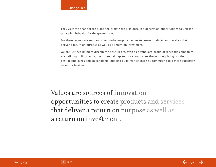They view the financial crisis and the climate crisis as once-in-a-generation opportunities to unleash principled behavior for the greater good.

For them, values are sources of innovation—opportunities to create products and services that deliver a return on purpose as well as a return on investment.

We are just beginning to discern the post-CR era, even as a vanguard group of renegade companies are defining it. But clearly, the future belongs to those companies that not only bring out the best in employees and stakeholders, but also build market share by committing to a more expansive vision for business.

Values are sources of innovation opportunities to create products and services that deliver a return on purpose as well as a return on investment.



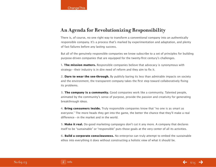## **An Agenda for Revolutionizing Responsibility**

There is, of course, no one right way to transform a conventional company into an authentically responsible company. It's a process that's marked by experimentation and adaptation, and plenty of fast failures before any lasting success.

But all of the genuinely responsible companies we know subscribe to a set of principles for building purpose-driven companies that are equipped for the twenty-first century's challenges.

**1. The mission matters.** Responsible companies believe that advocacy is synonymous with strategy—their industry is in dire need of reform and they aim to fix it.

**2. Dare to wear the see-through.** By publicly baring its less than admirable impacts on society and the environment, the transparent company takes the first step toward collaboratively fixing its problems.

**3. The company is a community.** Good companies work like a community. Talented people, animated by the community's sense of purpose, provide the passion and creativity for generating breakthrough ideas.

**4. Bring consumers inside.** Truly responsible companies know that "no one is as smart as everyone." The more heads they get into the game, the better the chance that they'll make a real difference—in the market and in the world.

**5. Make it real.** Do-good marketing campaigns don't cut it any more. A company that declares itself to be "sustainable" or "responsible" puts those goals at the very center of all its activities.

**6. Build a corporate consciousness.** No enterprise can truly attempt to embed the sustainable ethos into everything it does without constructing a holistic view of what it should be.

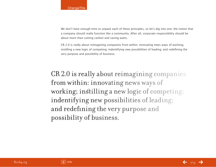We don't have enough time to unpack each of these principles, so let's dig into one: the notion that a company should really function like a community. After all, corporate responsibility should be about more than cutting carbon and saving watts.

CR 2.0 is really about reimagining companies from within: innovating news ways of working; instilling a new logic of competing; indentifying new possibilities of leading; and redefining the very purpose and possibility of business.

CR 2.0 is really about reimagining companies from within: innovating news ways of working; instilling a new logic of competing; indentifying new possibilities of leading; and redefining the very purpose and possibility of business.

No 69.03

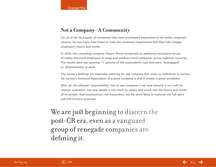## **Not a Company—A Community**

For all of the thousands of companies that have proclaimed themselves to be stellar corporate citizens, far too many have failed to meet the minimum requirement that they fully engage employee's hearts and minds.

In 2008, the consulting company Towers Perrin conducted an ambitious workplace survey of ninety thousand employees in large and medium-sized companies across eighteen countries. The results were eye opening: 71 percent of the respondents said they were "disengaged" or "disenchanted" at work.

The survey's findings are especially sobering for any company that seeks to contribute to society, for society's foremost expectation of a good company is that it creates a great workplace.

After all, the ultimate "responsibility" test of any company is not how cleverly it can craft its mission statement, but how deeply it can instill its values and vision into the hearts and minds of its people. And communities, not hierarchies, are far more likely to summon the full spirit and will of every associate.

We are just beginning to discern the post-CR era, even as a vanguard group of renegade companies are defining it.

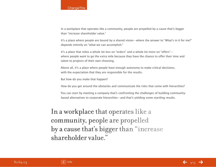#### **ChangeThis**

In a workplace that operates like a community, people are propelled by a cause that's bigger than "increase shareholder value."

It's a place where people are bound by a shared vision—where the answer to "What's in it for me?" depends entirely on "what we can accomplish."

It's a place that relies a whole lot less on "orders" and a whole lot more on "offers" where people want to go the extra mile because they have the chance to offer their time and talent to projects of their own choosing.

Above all, it's a place where people have enough autonomy to make critical decisions, with the expectation that they are responsible for the results.

But how do you make that happen?

How do you get around the obstacles and communicate the risks that come with hierarchies?

You can start by meeting a company that's confronting the challenges of building communitybased alternatives to corporate hierarchies—and that's yielding some startling results.

In a workplace that operates like a community, people are propelled by a cause that's bigger than "increase shareholder value."

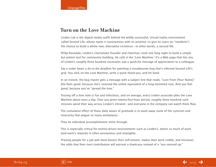#### **Turn on the Love Machine**

Linden Lab is the digital media outfit behind the wildly successful, virtual-reality environment called Second Life, whose name is synonymous with its promise: to give its users (or "residents") the chance to build a whole new, alternative existence—in other words, a second life.

Philip Rosedale, Linden's charismatic founder and chairman, took one long night to build a simple but potent tool for community building. He calls it the "Love Machine." It's a Web page that lets any of Linden's roughly three hundred associates zap a quick-hit message of appreciation to a colleague.

Say a coder beats a do-or-die deadline for patching a troublesome bug that's infected Second Life's grid. You click on the Love Machine, write a quick thank-you, and hit Send.

In an instant, the bug maven gets a message with a subject line that reads, "Love from [Your Name]." She feels good, because she's received the online equivalent of a long-stemmed rose. And you feel good, because you've "spread the love."

Tossing off a love note is fun and infectious, and on average, every Linden associate plies the Love Machine about once a day. Over any given twenty-four-hour period, roughly three hundred such missives wend their way across Linden's intranet—and everyone in the company can watch them flow.

The cumulative effect of these daily waves of gratitude is to wash away some of the cynicism and insecurity that plague so many workplaces.

They let individual accomplishment shine through.

This is especially critical for techno-driven environments such as Linden's, where so much of work (and work's rewards) is often anonymous and intangible.

Praising people for a job well done boosts their self-esteem, makes their work visible, and increases the odds that their next contribution will warrant a thank-you instead of a "you messed up."

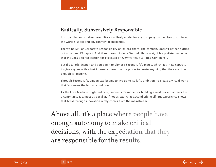## **Radically, Subversively Responsible**

It's true. Linden Lab does seem like an unlikely model for any company that aspires to confront the world's social and environmental challenges.

There's no SVP of Corporate Responsibility on its org chart. The company doesn't bother putting out an annual CR report. And then there's Linden's Second Life, a vast, richly pixilated universe that includes a tiered section for cybersex of every variety ("X-Rated Continent").

But dig a little deeper, and you begin to glimpse Second Life's magic, which lies in its capacity to give anyone with a fast internet connection the power to create anything that they are driven enough to imagine.

Through Second Life, Linden Lab begins to live up to its lofty ambition: to create a virtual world that "advances the human condition."

As the Love Machine might indicate, Linden Lab's model for building a workplace that feels like a community is almost as peculiar, if not as exotic, as Second Life itself. But experience shows that breakthrough innovation rarely comes from the mainstream.

Above all, it's a place where people have enough autonomy to make critical decisions, with the expectation that they are responsible for the results.

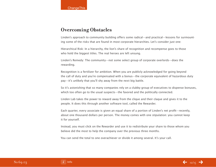## **Overcoming Obstacles**

Linden's approach to community building offers some radical—and practical—lessons for surmounting some of the risks that are found in most corporate hierarchies. Let's consider just one:

Hierarchical Risk: In a hierarchy, the lion's share of recognition and recompense goes to those who hold the biggest titles. The real heroes are left unsung.

Linden's Remedy: The community—not some select group of corporate overlords—does the rewarding.

Recognition is a fertilizer for ambition. When you are publicly acknowledged for going beyond the call of duty and you're compensated with a bonus—the corporate equivalent of hazardous duty pay—it's unlikely that you'll shy away from the next big battle.

So it's astonishing that so many companies rely on a clubby group of executives to dispense bonuses, which too often go to the usual suspects—the favored and the politically connected.

Linden Lab takes the power to reward away from the clique and their claque and gives it to the people. It does this through another software tool, called the Rewarder.

Each quarter, every associate is given an equal share of a portion of Linden's net profit—recently, about one thousand dollars per person. The money comes with one stipulation: you cannot keep it for yourself.

Instead, you must click on the Rewarder and use it to redistribute your share to those whom you believe did the most to help the company over the previous three months.

You can send the total to one overachiever or divide it among several. It's your call.

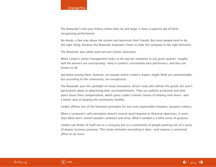The Rewarder's two-year history shows that, by and large, it does a superior job of fairly recognizing performance.

No doubt, a few may abuse the system and patronize their friends. But most people tend to do the right thing, because the Rewarder empowers them to steer the company in the right direction.

The Rewarder also tallies each person's bonus allocation.

When Linden's senior management looks at the top ten recipients in any given quarter, roughly half the winners are unsurprising—they're Linden's consistently best performers, and they are known to all.

Sprinkled among them, however, are people whom Linden's leaders might think are unremarkable, but according to the community, are exceptional.

The Rewarder puts the spotlight on those innovative, driven souls who deliver the goods but aren't particularly adept at advertising their accomplishments. They are publicly acclaimed and their peers boost their compensation, which gives Linden a better chance of holding onto them—and a better shot at keeping the community healthy.

Linden affirms one of the foremost principles for any truly responsible company: purpose matters.

When a company's self-conception doesn't extend much beyond its financial objectives, it more than likely won't stretch people's ambition and drive. What's needed is a lofty sense of purpose.

Linden Lab thinks of itself not as a company but as a community of people working out of a sense of deeper business purpose. This vision animates everything it does—and inspires a concerted effort to do more.

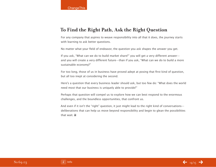## **To Find the Right Path, Ask the Right Question**

For any company that aspires to weave responsibility into all that it does, the journey starts with learning to ask better questions.

No matter what your field of endeavor, the question you ask shapes the answer you get.

If you ask, "What can we do to build market share?" you will get a very different answer and you will create a very different future—than if you ask, "What can we do to build a more sustainable economy?"

For too long, those of us in business have proved adept at posing that first kind of question, but all too inept at considering the second.

Here's a question that every business leader should ask, but too few do: "What does the world need most that our business is uniquely able to provide?"

Perhaps that question will compel us to explore how we can best respond to the enormous challenges, and the boundless opportunities, that confront us.

And even if it isn't the "right" question, it just might lead to the right kind of conversations deliberations that can help us move beyond responsibility and begin to glean the possibilities that wait.